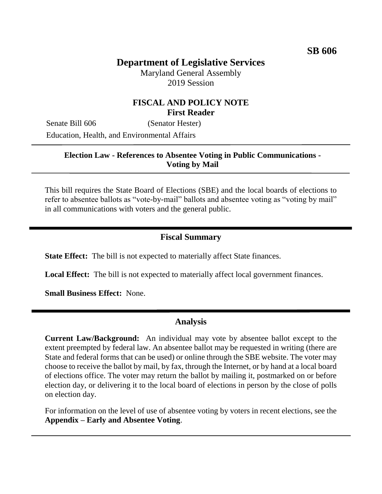# **Department of Legislative Services**

Maryland General Assembly 2019 Session

#### **FISCAL AND POLICY NOTE First Reader**

Senate Bill 606 (Senator Hester) Education, Health, and Environmental Affairs

#### **Election Law - References to Absentee Voting in Public Communications - Voting by Mail**

This bill requires the State Board of Elections (SBE) and the local boards of elections to refer to absentee ballots as "vote-by-mail" ballots and absentee voting as "voting by mail" in all communications with voters and the general public.

#### **Fiscal Summary**

**State Effect:** The bill is not expected to materially affect State finances.

**Local Effect:** The bill is not expected to materially affect local government finances.

**Small Business Effect:** None.

#### **Analysis**

**Current Law/Background:** An individual may vote by absentee ballot except to the extent preempted by federal law. An absentee ballot may be requested in writing (there are State and federal forms that can be used) or online through the SBE website. The voter may choose to receive the ballot by mail, by fax, through the Internet, or by hand at a local board of elections office. The voter may return the ballot by mailing it, postmarked on or before election day, or delivering it to the local board of elections in person by the close of polls on election day.

For information on the level of use of absentee voting by voters in recent elections, see the **Appendix – Early and Absentee Voting**.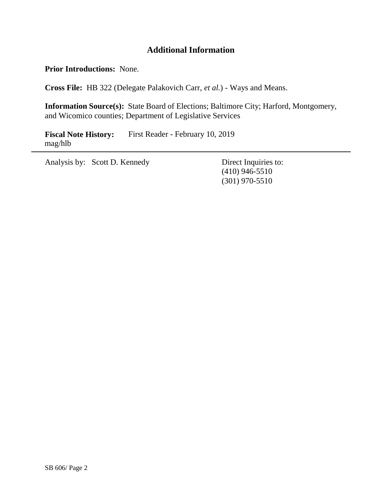## **Additional Information**

**Prior Introductions:** None.

**Cross File:** HB 322 (Delegate Palakovich Carr, *et al.*) - Ways and Means.

**Information Source(s):** State Board of Elections; Baltimore City; Harford, Montgomery, and Wicomico counties; Department of Legislative Services

Fiscal Note History: First Reader - February 10, 2019 mag/hlb

Analysis by: Scott D. Kennedy Direct Inquiries to:

(410) 946-5510 (301) 970-5510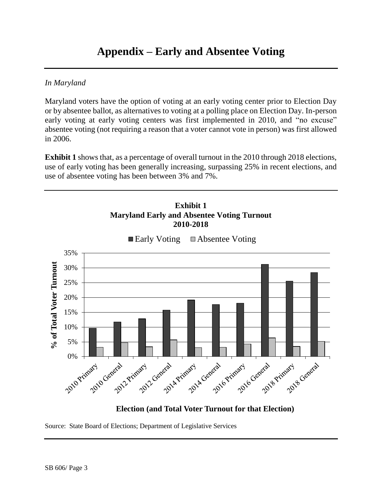#### *In Maryland*

Maryland voters have the option of voting at an early voting center prior to Election Day or by absentee ballot, as alternatives to voting at a polling place on Election Day. In-person early voting at early voting centers was first implemented in 2010, and "no excuse" absentee voting (not requiring a reason that a voter cannot vote in person) was first allowed in 2006.

**Exhibit 1** shows that, as a percentage of overall turnout in the 2010 through 2018 elections, use of early voting has been generally increasing, surpassing 25% in recent elections, and use of absentee voting has been between 3% and 7%.



**Election (and Total Voter Turnout for that Election)**

Source: State Board of Elections; Department of Legislative Services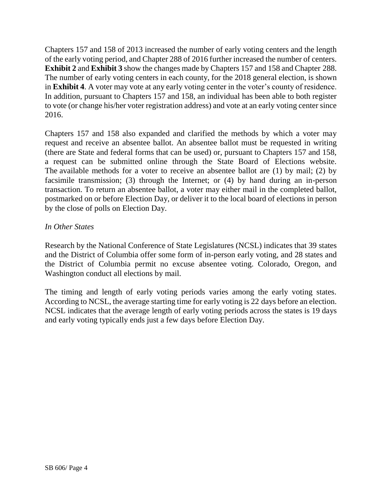Chapters 157 and 158 of 2013 increased the number of early voting centers and the length of the early voting period, and Chapter 288 of 2016 further increased the number of centers. **Exhibit 2** and **Exhibit 3** show the changes made by Chapters 157 and 158 and Chapter 288. The number of early voting centers in each county, for the 2018 general election, is shown in **Exhibit 4**. A voter may vote at any early voting center in the voter's county of residence. In addition, pursuant to Chapters 157 and 158, an individual has been able to both register to vote (or change his/her voter registration address) and vote at an early voting center since 2016.

Chapters 157 and 158 also expanded and clarified the methods by which a voter may request and receive an absentee ballot. An absentee ballot must be requested in writing (there are State and federal forms that can be used) or, pursuant to Chapters 157 and 158, a request can be submitted online through the State Board of Elections website. The available methods for a voter to receive an absentee ballot are (1) by mail; (2) by facsimile transmission; (3) through the Internet; or (4) by hand during an in-person transaction. To return an absentee ballot, a voter may either mail in the completed ballot, postmarked on or before Election Day, or deliver it to the local board of elections in person by the close of polls on Election Day.

#### *In Other States*

Research by the National Conference of State Legislatures (NCSL) indicates that 39 states and the District of Columbia offer some form of in-person early voting, and 28 states and the District of Columbia permit no excuse absentee voting. Colorado, Oregon, and Washington conduct all elections by mail.

The timing and length of early voting periods varies among the early voting states. According to NCSL, the average starting time for early voting is 22 days before an election. NCSL indicates that the average length of early voting periods across the states is 19 days and early voting typically ends just a few days before Election Day.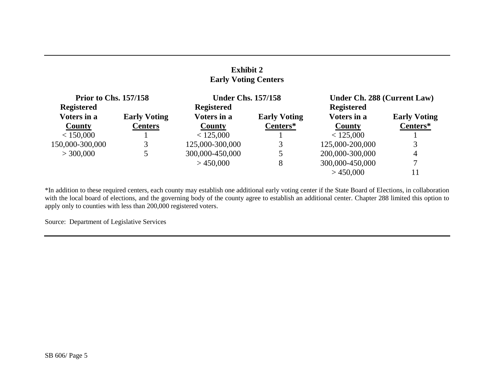#### **Exhibit 2 Early Voting Centers**

| <b>Prior to Chs. 157/158</b> |                     | <b>Under Chs. 157/158</b> |                     | Under Ch. 288 (Current Law) |                     |
|------------------------------|---------------------|---------------------------|---------------------|-----------------------------|---------------------|
| <b>Registered</b>            |                     | <b>Registered</b>         |                     | <b>Registered</b>           |                     |
| Voters in a                  | <b>Early Voting</b> | Voters in a               | <b>Early Voting</b> | Voters in a                 | <b>Early Voting</b> |
| <b>County</b>                | <b>Centers</b>      | County                    | Centers*            | County                      | Centers*            |
| < 150,000                    |                     | < 125,000                 |                     | < 125,000                   |                     |
| 150,000-300,000              |                     | 125,000-300,000           |                     | 125,000-200,000             |                     |
| > 300,000                    |                     | 300,000-450,000           |                     | 200,000-300,000             | $\overline{4}$      |
|                              |                     | >450,000                  | 8                   | 300,000-450,000             | 7                   |
|                              |                     |                           |                     | >450,000                    | 11                  |

\*In addition to these required centers, each county may establish one additional early voting center if the State Board of Elections, in collaboration with the local board of elections, and the governing body of the county agree to establish an additional center. Chapter 288 limited this option to apply only to counties with less than 200,000 registered voters.

Source: Department of Legislative Services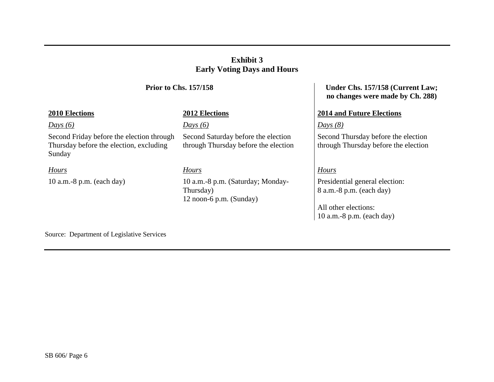### **Exhibit 3 Early Voting Days and Hours**

#### **Prior to Chs. 157/158 Under Chs. 157/158 (Current Law;**

#### **2010 Elections 2012 Elections 2014 and Future Elections** *Days (6) Days (6) Days (8)* Second Friday before the election through Thursday before the election, excluding Sunday Second Saturday before the election through Thursday before the election Second Thursday before the election through Thursday before the election *Hours Hours Hours* 10 a.m.-8 p.m. (each day) 10 a.m.-8 p.m. (Saturday; Monday-Thursday) 12 noon-6 p.m. (Sunday) Presidential general election: 8 a.m.-8 p.m. (each day)

All other elections: 10 a.m.-8 p.m. (each day)

**no changes were made by Ch. 288)**

Source: Department of Legislative Services